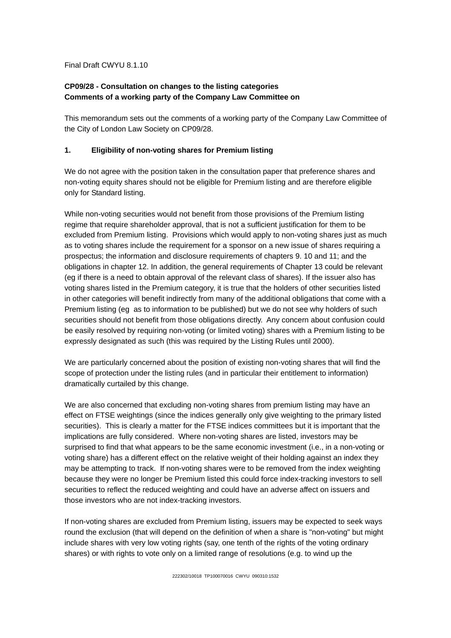Final Draft CWYU 8.1.10

## **CP09/28 - Consultation on changes to the listing categories Comments of a working party of the Company Law Committee on**

This memorandum sets out the comments of a working party of the Company Law Committee of the City of London Law Society on CP09/28.

## **1. Eligibility of non-voting shares for Premium listing**

We do not agree with the position taken in the consultation paper that preference shares and non-voting equity shares should not be eligible for Premium listing and are therefore eligible only for Standard listing.

While non-voting securities would not benefit from those provisions of the Premium listing regime that require shareholder approval, that is not a sufficient justification for them to be excluded from Premium listing. Provisions which would apply to non-voting shares just as much as to voting shares include the requirement for a sponsor on a new issue of shares requiring a prospectus; the information and disclosure requirements of chapters 9. 10 and 11; and the obligations in chapter 12. In addition, the general requirements of Chapter 13 could be relevant (eg if there is a need to obtain approval of the relevant class of shares). If the issuer also has voting shares listed in the Premium category, it is true that the holders of other securities listed in other categories will benefit indirectly from many of the additional obligations that come with a Premium listing (eg as to information to be published) but we do not see why holders of such securities should not benefit from those obligations directly. Any concern about confusion could be easily resolved by requiring non-voting (or limited voting) shares with a Premium listing to be expressly designated as such (this was required by the Listing Rules until 2000).

We are particularly concerned about the position of existing non-voting shares that will find the scope of protection under the listing rules (and in particular their entitlement to information) dramatically curtailed by this change.

We are also concerned that excluding non-voting shares from premium listing may have an effect on FTSE weightings (since the indices generally only give weighting to the primary listed securities). This is clearly a matter for the FTSE indices committees but it is important that the implications are fully considered. Where non-voting shares are listed, investors may be surprised to find that what appears to be the same economic investment (i.e., in a non-voting or voting share) has a different effect on the relative weight of their holding against an index they may be attempting to track. If non-voting shares were to be removed from the index weighting because they were no longer be Premium listed this could force index-tracking investors to sell securities to reflect the reduced weighting and could have an adverse affect on issuers and those investors who are not index-tracking investors.

If non-voting shares are excluded from Premium listing, issuers may be expected to seek ways round the exclusion (that will depend on the definition of when a share is "non-voting" but might include shares with very low voting rights (say, one tenth of the rights of the voting ordinary shares) or with rights to vote only on a limited range of resolutions (e.g. to wind up the